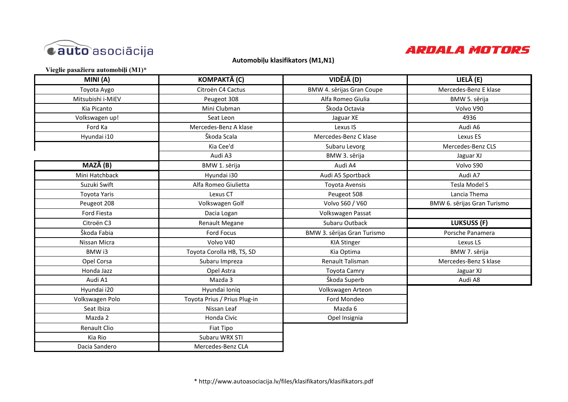

### **Automobiļu klasifikators (M1,N1)**

**Vieglie pasažieru automobiļi (M1)\*** 

| MINI (A)          | KOMPAKTĀ (C)                 | VIDĒJĀ (D)                  | LIELĀ (E)                   |
|-------------------|------------------------------|-----------------------------|-----------------------------|
| Toyota Aygo       | Citroën C4 Cactus            | BMW 4. sērijas Gran Coupe   | Mercedes-Benz E klase       |
| Mitsubishi i-MiEV | Peugeot 308                  | Alfa Romeo Giulia           | BMW 5. sērija               |
| Kia Picanto       | Mini Clubman                 | Škoda Octavia               | Volvo V90                   |
| Volkswagen up!    | Seat Leon                    | Jaguar XE                   | 4936                        |
| Ford Ka           | Mercedes-Benz A klase        | Lexus IS                    | Audi A6                     |
| Hyundai i10       | Škoda Scala                  | Mercedes-Benz C klase       | Lexus ES                    |
|                   | Kia Cee'd                    | Subaru Levorg               | Mercedes-Benz CLS           |
|                   | Audi A3                      | BMW 3. sērija               | Jaguar XJ                   |
| MAZĀ (B)          | BMW 1. sērija                | Audi A4                     | Volvo S90                   |
| Mini Hatchback    | Hyundai i30                  | Audi A5 Sportback           | Audi A7                     |
| Suzuki Swift      | Alfa Romeo Giulietta         | Toyota Avensis              | <b>Tesla Model S</b>        |
| Toyota Yaris      | Lexus CT                     | Peugeot 508                 | Lancia Thema                |
| Peugeot 208       | Volkswagen Golf              | Volvo S60 / V60             | BMW 6. sērijas Gran Turismo |
| Ford Fiesta       | Dacia Logan                  | Volkswagen Passat           |                             |
| Citroën C3        | Renault Megane               | Subaru Outback              | <b>LUKSUSS (F)</b>          |
| Škoda Fabia       | Ford Focus                   | BMW 3. sērijas Gran Turismo | Porsche Panamera            |
| Nissan Micra      | Volvo V40                    | <b>KIA Stinger</b>          | Lexus LS                    |
| BMW i3            | Toyota Corolla HB, TS, SD    | Kia Optima                  | BMW 7. sērija               |
| Opel Corsa        | Subaru Impreza               | Renault Talisman            | Mercedes-Benz S klase       |
| Honda Jazz        | Opel Astra                   | <b>Toyota Camry</b>         | Jaguar XJ                   |
| Audi A1           | Mazda 3                      | Škoda Superb                | Audi A8                     |
| Hyundai i20       | Hyundai Ioniq                | Volkswagen Arteon           |                             |
| Volkswagen Polo   | Toyota Prius / Prius Plug-in | Ford Mondeo                 |                             |
| Seat Ibiza        | Nissan Leaf                  | Mazda 6                     |                             |
| Mazda 2           | Honda Civic                  | Opel Insignia               |                             |
| Renault Clio      | Fiat Tipo                    |                             |                             |
| Kia Rio           | Subaru WRX STI               |                             |                             |
| Dacia Sandero     | Mercedes-Benz CLA            |                             |                             |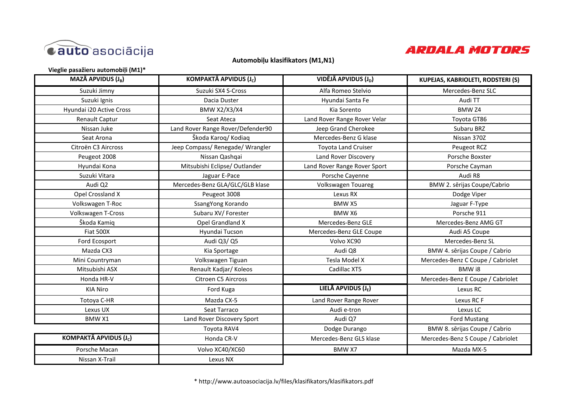

### **Automobiļu klasifikators (M1,N1)**

**Vieglie pasažieru automobiļi (M1)\***

| <b>MAZĀ APVIDUS (J<sub>B</sub>)</b> | KOMPAKTĀ APVIDUS (J <sub>c</sub> ) | VIDĒJĀ APVIDUS (J <sub>D</sub> ) | <b>KUPEJAS, KABRIOLETI, RODSTERI (S)</b> |
|-------------------------------------|------------------------------------|----------------------------------|------------------------------------------|
| Suzuki Jimny                        | Suzuki SX4 S-Cross                 | Alfa Romeo Stelvio               | Mercedes-Benz SLC                        |
| Suzuki Ignis                        | Dacia Duster                       | Hyundai Santa Fe                 | Audi TT                                  |
| Hyundai i20 Active Cross            | <b>BMW X2/X3/X4</b>                | Kia Sorento                      | <b>BMW Z4</b>                            |
| Renault Captur                      | Seat Ateca                         | Land Rover Range Rover Velar     | Toyota GT86                              |
| Nissan Juke                         | Land Rover Range Rover/Defender90  | Jeep Grand Cherokee              | Subaru BRZ                               |
| Seat Arona                          | Škoda Karog/Kodiag                 | Mercedes-Benz G klase            | Nissan 370Z                              |
| Citroën C3 Aircross                 | Jeep Compass/ Renegade/ Wrangler   | <b>Toyota Land Cruiser</b>       | Peugeot RCZ                              |
| Peugeot 2008                        | Nissan Qashqai                     | Land Rover Discovery             | Porsche Boxster                          |
| Hyundai Kona                        | Mitsubishi Eclipse/ Outlander      | Land Rover Range Rover Sport     | Porsche Cayman                           |
| Suzuki Vitara                       | Jaguar E-Pace                      | Porsche Cayenne                  | Audi R8                                  |
| Audi Q2                             | Mercedes-Benz GLA/GLC/GLB klase    | Volkswagen Touareg               | BMW 2. sērijas Coupe/Cabrio              |
| Opel Crossland X                    | Peugeot 3008                       | Lexus RX                         | Dodge Viper                              |
| Volkswagen T-Roc                    | SsangYong Korando                  | BMW X5                           | Jaguar F-Type                            |
| Volkswagen T-Cross                  | Subaru XV/ Forester                | BMW X6                           | Porsche 911                              |
| Škoda Kamiq                         | Opel Grandland X                   | Mercedes-Benz GLE                | Mercedes-Benz AMG GT                     |
| <b>Fiat 500X</b>                    | Hyundai Tucson                     | Mercedes-Benz GLE Coupe          | Audi A5 Coupe                            |
| Ford Ecosport                       | Audi Q3/ Q5                        | Volvo XC90                       | Mercedes-Benz SL                         |
| Mazda CX3                           | Kia Sportage                       | Audi Q8                          | BMW 4. sērijas Coupe / Cabrio            |
| Mini Countryman                     | Volkswagen Tiguan                  | Tesla Model X                    | Mercedes-Benz C Coupe / Cabriolet        |
| Mitsubishi ASX                      | Renault Kadjar/ Koleos             | Cadillac XT5                     | BMW i8                                   |
| Honda HR-V                          | Citroen C5 Aircross                |                                  | Mercedes-Benz E Coupe / Cabriolet        |
| <b>KIA Niro</b>                     | Ford Kuga                          | LIELĀ APVIDUS (J <sub>F</sub> )  | Lexus RC                                 |
| Totoya C-HR                         | Mazda CX-5                         | Land Rover Range Rover           | Lexus RC F                               |
| Lexus UX                            | Seat Tarraco                       | Audi e-tron                      | Lexus LC                                 |
| BMW X1                              | Land Rover Discovery Sport         | Audi Q7                          | Ford Mustang                             |
|                                     | Toyota RAV4                        | Dodge Durango                    | BMW 8. sērijas Coupe / Cabrio            |
| KOMPAKTĀ APVIDUS (J <sub>C</sub> )  | Honda CR-V                         | Mercedes-Benz GLS klase          | Mercedes-Benz S Coupe / Cabriolet        |
| Porsche Macan                       | Volvo XC40/XC60                    | BMW X7                           | Mazda MX-5                               |
| Nissan X-Trail                      | Lexus NX                           |                                  |                                          |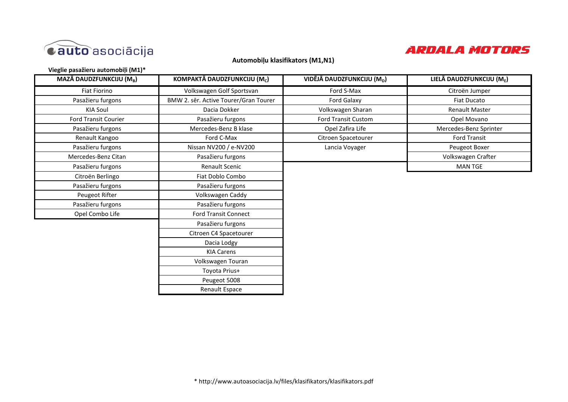

## **Automobiļu klasifikators (M1,N1)**

**Vieglie pasažieru automobiļi (M1)\***

| MAZĀ DAUDZFUNKCIJU (M <sub>B</sub> ) | KOMPAKTĀ DAUDZFUNKCIJU (M <sub>c</sub> ) | VIDĒJĀ DAUDZFUNKCIJU (M <sub>D</sub> ) | LIELĀ DAUDZFUNKCIJU (ME) |
|--------------------------------------|------------------------------------------|----------------------------------------|--------------------------|
| Fiat Fiorino                         | Volkswagen Golf Sportsvan                | Ford S-Max                             | Citroën Jumper           |
| Pasažieru furgons                    | BMW 2. sēr. Active Tourer/Gran Tourer    | Ford Galaxy                            | <b>Fiat Ducato</b>       |
| <b>KIA Soul</b>                      | Dacia Dokker                             | Volkswagen Sharan                      | <b>Renault Master</b>    |
| Ford Transit Courier                 | Pasažieru furgons                        | Ford Transit Custom                    | Opel Movano              |
| Pasažieru furgons                    | Mercedes-Benz B klase                    | Opel Zafira Life                       | Mercedes-Benz Sprinter   |
| Renault Kangoo                       | Ford C-Max                               | Citroen Spacetourer                    | <b>Ford Transit</b>      |
| Pasažieru furgons                    | Nissan NV200 / e-NV200                   | Lancia Voyager                         | Peugeot Boxer            |
| Mercedes-Benz Citan                  | Pasažieru furgons                        |                                        | Volkswagen Crafter       |
| Pasažieru furgons                    | Renault Scenic                           |                                        | <b>MAN TGE</b>           |
| Citroën Berlingo                     | Fiat Doblo Combo                         |                                        |                          |
| Pasažieru furgons                    | Pasažieru furgons                        |                                        |                          |
| Peugeot Rifter                       | Volkswagen Caddy                         |                                        |                          |
| Pasažieru furgons                    | Pasažieru furgons                        |                                        |                          |
| Opel Combo Life                      | <b>Ford Transit Connect</b>              |                                        |                          |
|                                      | Pasažieru furgons                        |                                        |                          |
|                                      | Citroen C4 Spacetourer                   |                                        |                          |
|                                      | Dacia Lodgy                              |                                        |                          |
|                                      | <b>KIA Carens</b>                        |                                        |                          |
|                                      | Volkswagen Touran                        |                                        |                          |
|                                      | Toyota Prius+                            |                                        |                          |
|                                      | Peugeot 5008                             |                                        |                          |
|                                      | Renault Espace                           |                                        |                          |